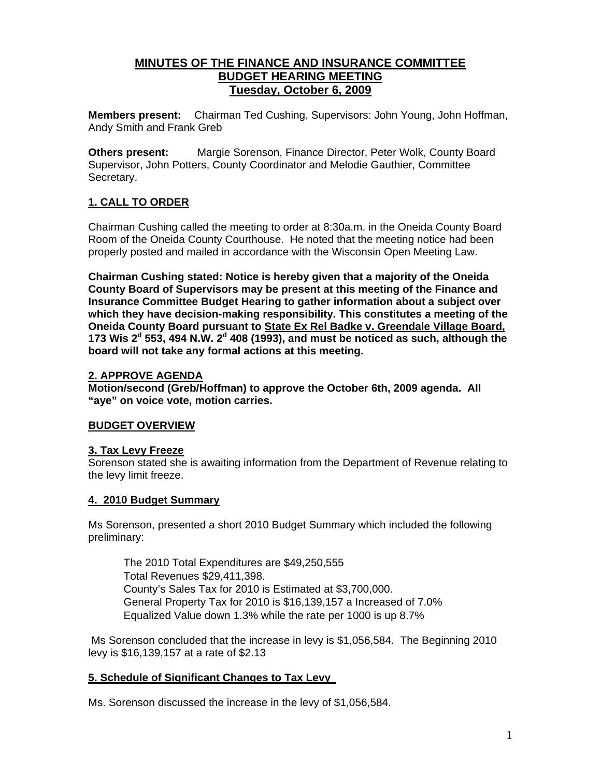# **MINUTES OF THE FINANCE AND INSURANCE COMMITTEE BUDGET HEARING MEETING Tuesday, October 6, 2009**

**Members present:** Chairman Ted Cushing, Supervisors: John Young, John Hoffman, Andy Smith and Frank Greb

**Others present:** Margie Sorenson, Finance Director, Peter Wolk, County Board Supervisor, John Potters, County Coordinator and Melodie Gauthier, Committee Secretary.

# **1. CALL TO ORDER**

Chairman Cushing called the meeting to order at 8:30a.m. in the Oneida County Board Room of the Oneida County Courthouse. He noted that the meeting notice had been properly posted and mailed in accordance with the Wisconsin Open Meeting Law.

**Chairman Cushing stated: Notice is hereby given that a majority of the Oneida County Board of Supervisors may be present at this meeting of the Finance and Insurance Committee Budget Hearing to gather information about a subject over which they have decision-making responsibility. This constitutes a meeting of the Oneida County Board pursuant to State Ex Rel Badke v. Greendale Village Board, 173 Wis 2<sup>d</sup> 553, 494 N.W. 2<sup>d</sup> 408 (1993), and must be noticed as such, although the board will not take any formal actions at this meeting.** 

## **2. APPROVE AGENDA**

**Motion/second (Greb/Hoffman) to approve the October 6th, 2009 agenda. All "aye" on voice vote, motion carries.** 

## **BUDGET OVERVIEW**

## **3. Tax Levy Freeze**

Sorenson stated she is awaiting information from the Department of Revenue relating to the levy limit freeze.

## **4. 2010 Budget Summary**

Ms Sorenson, presented a short 2010 Budget Summary which included the following preliminary:

 The 2010 Total Expenditures are \$49,250,555 Total Revenues \$29,411,398. County's Sales Tax for 2010 is Estimated at \$3,700,000. General Property Tax for 2010 is \$16,139,157 a Increased of 7.0% Equalized Value down 1.3% while the rate per 1000 is up 8.7%

 Ms Sorenson concluded that the increase in levy is \$1,056,584. The Beginning 2010 levy is \$16,139,157 at a rate of \$2.13

## **5. Schedule of Significant Changes to Tax Levy**

Ms. Sorenson discussed the increase in the levy of \$1,056,584.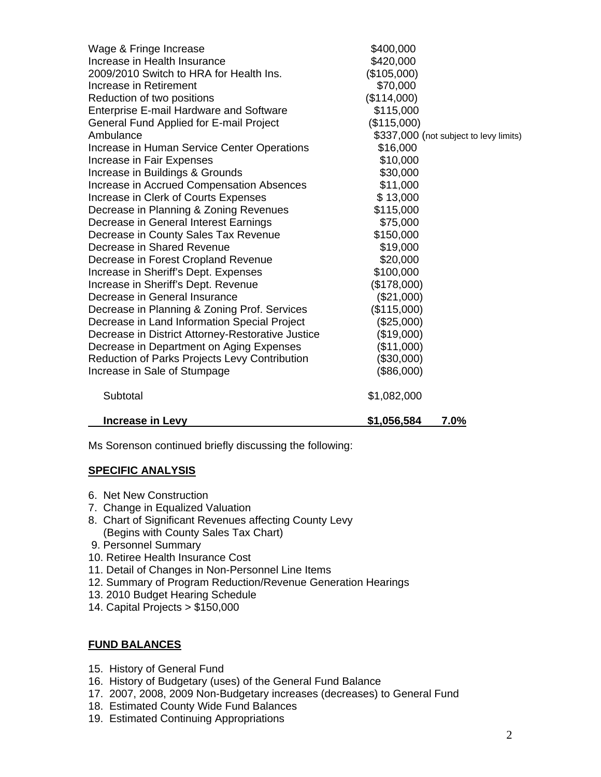| Wage & Fringe Increase                            | \$400,000                              |
|---------------------------------------------------|----------------------------------------|
| Increase in Health Insurance                      | \$420,000                              |
| 2009/2010 Switch to HRA for Health Ins.           | (\$105,000)                            |
| Increase in Retirement                            | \$70,000                               |
| Reduction of two positions                        | (\$114,000)                            |
| <b>Enterprise E-mail Hardware and Software</b>    | \$115,000                              |
| General Fund Applied for E-mail Project           | (\$115,000)                            |
| Ambulance                                         | \$337,000 (not subject to levy limits) |
| Increase in Human Service Center Operations       | \$16,000                               |
| Increase in Fair Expenses                         | \$10,000                               |
| Increase in Buildings & Grounds                   | \$30,000                               |
| Increase in Accrued Compensation Absences         | \$11,000                               |
| Increase in Clerk of Courts Expenses              | \$13,000                               |
| Decrease in Planning & Zoning Revenues            | \$115,000                              |
| Decrease in General Interest Earnings             | \$75,000                               |
| Decrease in County Sales Tax Revenue              | \$150,000                              |
| Decrease in Shared Revenue                        | \$19,000                               |
| Decrease in Forest Cropland Revenue               | \$20,000                               |
| Increase in Sheriff's Dept. Expenses              | \$100,000                              |
| Increase in Sheriff's Dept. Revenue               | (\$178,000)                            |
| Decrease in General Insurance                     | (\$21,000)                             |
| Decrease in Planning & Zoning Prof. Services      | (\$115,000)                            |
| Decrease in Land Information Special Project      | $(\$25,000)$                           |
| Decrease in District Attorney-Restorative Justice | (\$19,000)                             |
| Decrease in Department on Aging Expenses          | (\$11,000)                             |
| Reduction of Parks Projects Levy Contribution     | (\$30,000)                             |
| Increase in Sale of Stumpage                      | (\$86,000)                             |
| Subtotal                                          | \$1,082,000                            |
| <b>Increase in Levy</b>                           | \$1,056,584<br>7.0%                    |

Ms Sorenson continued briefly discussing the following:

# **SPECIFIC ANALYSIS**

- 6. Net New Construction
- 7. Change in Equalized Valuation
- 8. Chart of Significant Revenues affecting County Levy (Begins with County Sales Tax Chart)
- 9. Personnel Summary
- 10. Retiree Health Insurance Cost
- 11. Detail of Changes in Non-Personnel Line Items
- 12. Summary of Program Reduction/Revenue Generation Hearings
- 13. 2010 Budget Hearing Schedule
- 14. Capital Projects > \$150,000

## **FUND BALANCES**

- 15. History of General Fund
- 16. History of Budgetary (uses) of the General Fund Balance
- 17. 2007, 2008, 2009 Non-Budgetary increases (decreases) to General Fund
- 18. Estimated County Wide Fund Balances
- 19. Estimated Continuing Appropriations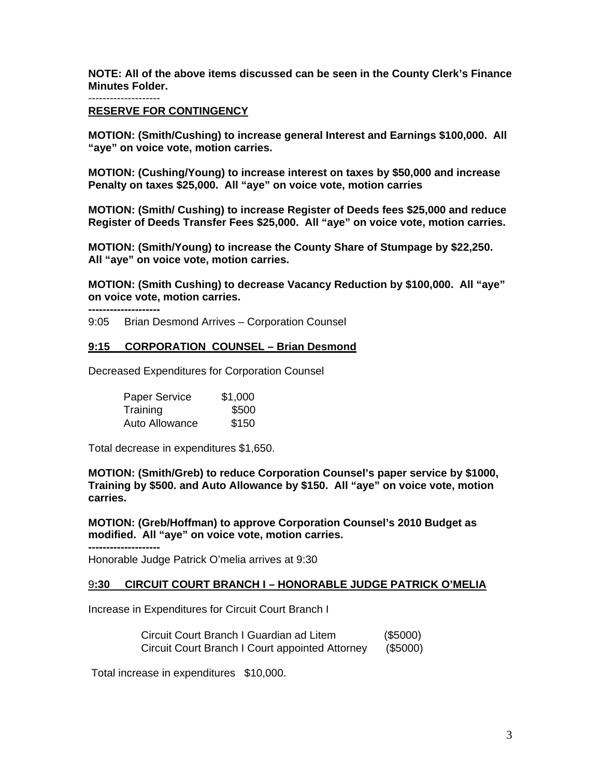**NOTE: All of the above items discussed can be seen in the County Clerk's Finance Minutes Folder.** 

--------------------

#### **RESERVE FOR CONTINGENCY**

**MOTION: (Smith/Cushing) to increase general Interest and Earnings \$100,000. All "aye" on voice vote, motion carries.** 

**MOTION: (Cushing/Young) to increase interest on taxes by \$50,000 and increase Penalty on taxes \$25,000. All "aye" on voice vote, motion carries** 

**MOTION: (Smith/ Cushing) to increase Register of Deeds fees \$25,000 and reduce Register of Deeds Transfer Fees \$25,000. All "aye" on voice vote, motion carries.** 

**MOTION: (Smith/Young) to increase the County Share of Stumpage by \$22,250. All "aye" on voice vote, motion carries.** 

**MOTION: (Smith Cushing) to decrease Vacancy Reduction by \$100,000. All "aye" on voice vote, motion carries.** 

**--------------------**  9:05 Brian Desmond Arrives – Corporation Counsel

### **9:15 CORPORATION COUNSEL – Brian Desmond**

Decreased Expenditures for Corporation Counsel

| Paper Service  | \$1,000 |
|----------------|---------|
| Training       | \$500   |
| Auto Allowance | \$150   |

Total decrease in expenditures \$1,650.

**--------------------** 

**MOTION: (Smith/Greb) to reduce Corporation Counsel's paper service by \$1000, Training by \$500. and Auto Allowance by \$150. All "aye" on voice vote, motion carries.** 

**MOTION: (Greb/Hoffman) to approve Corporation Counsel's 2010 Budget as modified. All "aye" on voice vote, motion carries.** 

Honorable Judge Patrick O'melia arrives at 9:30

#### 9**:30 CIRCUIT COURT BRANCH I – HONORABLE JUDGE PATRICK O'MELIA**

Increase in Expenditures for Circuit Court Branch I

 Circuit Court Branch I Guardian ad Litem (\$5000) Circuit Court Branch I Court appointed Attorney (\$5000)

Total increase in expenditures \$10,000.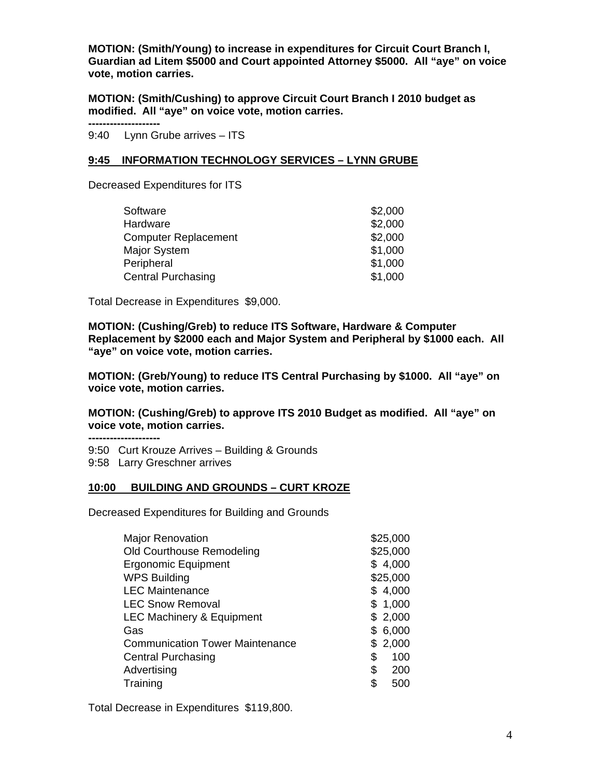**MOTION: (Smith/Young) to increase in expenditures for Circuit Court Branch I, Guardian ad Litem \$5000 and Court appointed Attorney \$5000. All "aye" on voice vote, motion carries.** 

**MOTION: (Smith/Cushing) to approve Circuit Court Branch I 2010 budget as modified. All "aye" on voice vote, motion carries.** 

**--------------------** 

9:40 Lynn Grube arrives – ITS

### **9:45 INFORMATION TECHNOLOGY SERVICES – LYNN GRUBE**

Decreased Expenditures for ITS

| \$2,000 |
|---------|
| \$2,000 |
| \$2,000 |
| \$1,000 |
| \$1,000 |
| \$1,000 |
|         |

Total Decrease in Expenditures \$9,000.

**MOTION: (Cushing/Greb) to reduce ITS Software, Hardware & Computer Replacement by \$2000 each and Major System and Peripheral by \$1000 each. All "aye" on voice vote, motion carries.** 

**MOTION: (Greb/Young) to reduce ITS Central Purchasing by \$1000. All "aye" on voice vote, motion carries.** 

**MOTION: (Cushing/Greb) to approve ITS 2010 Budget as modified. All "aye" on voice vote, motion carries.** 

**--------------------**  9:50 Curt Krouze Arrives – Building & Grounds

9:58 Larry Greschner arrives

### **10:00 BUILDING AND GROUNDS – CURT KROZE**

Decreased Expenditures for Building and Grounds

| <b>Major Renovation</b>                | \$25,000  |
|----------------------------------------|-----------|
| Old Courthouse Remodeling              | \$25,000  |
| <b>Ergonomic Equipment</b>             | \$4,000   |
| <b>WPS Building</b>                    | \$25,000  |
| <b>LEC Maintenance</b>                 | \$4,000   |
| <b>LEC Snow Removal</b>                | \$1,000   |
| <b>LEC Machinery &amp; Equipment</b>   | \$2,000   |
| Gas                                    | \$6,000   |
| <b>Communication Tower Maintenance</b> | \$2,000   |
| <b>Central Purchasing</b>              | \$<br>100 |
| Advertising                            | \$<br>200 |
| Training                               | \$<br>500 |
|                                        |           |

Total Decrease in Expenditures \$119,800.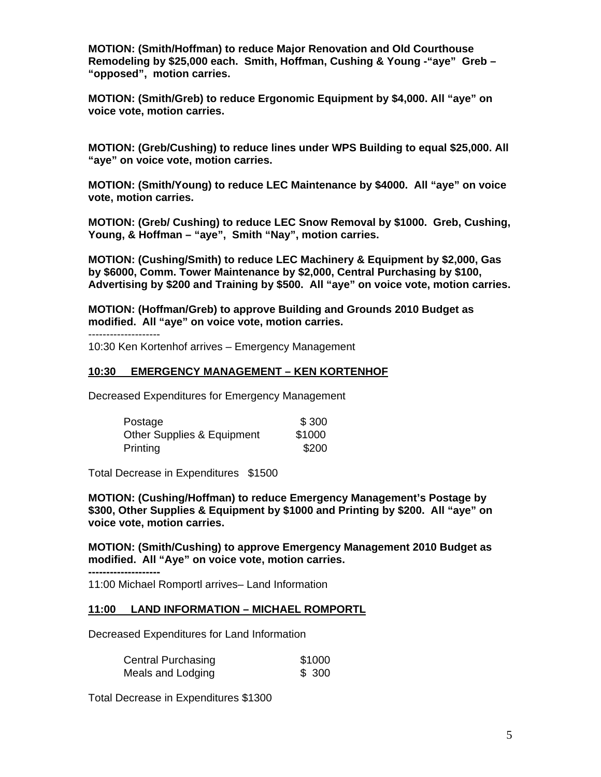**MOTION: (Smith/Hoffman) to reduce Major Renovation and Old Courthouse Remodeling by \$25,000 each. Smith, Hoffman, Cushing & Young -"aye" Greb – "opposed", motion carries.** 

**MOTION: (Smith/Greb) to reduce Ergonomic Equipment by \$4,000. All "aye" on voice vote, motion carries.** 

**MOTION: (Greb/Cushing) to reduce lines under WPS Building to equal \$25,000. All "aye" on voice vote, motion carries.** 

**MOTION: (Smith/Young) to reduce LEC Maintenance by \$4000. All "aye" on voice vote, motion carries.** 

**MOTION: (Greb/ Cushing) to reduce LEC Snow Removal by \$1000. Greb, Cushing, Young, & Hoffman – "aye", Smith "Nay", motion carries.** 

**MOTION: (Cushing/Smith) to reduce LEC Machinery & Equipment by \$2,000, Gas by \$6000, Comm. Tower Maintenance by \$2,000, Central Purchasing by \$100, Advertising by \$200 and Training by \$500. All "aye" on voice vote, motion carries.** 

**MOTION: (Hoffman/Greb) to approve Building and Grounds 2010 Budget as modified. All "aye" on voice vote, motion carries.** 

--------------------

**--------------------** 

10:30 Ken Kortenhof arrives – Emergency Management

### **10:30 EMERGENCY MANAGEMENT – KEN KORTENHOF**

Decreased Expenditures for Emergency Management

| Postage                    | \$300  |
|----------------------------|--------|
| Other Supplies & Equipment | \$1000 |
| Printing                   | \$200  |

Total Decrease in Expenditures \$1500

**MOTION: (Cushing/Hoffman) to reduce Emergency Management's Postage by \$300, Other Supplies & Equipment by \$1000 and Printing by \$200. All "aye" on voice vote, motion carries.** 

**MOTION: (Smith/Cushing) to approve Emergency Management 2010 Budget as modified. All "Aye" on voice vote, motion carries.** 

11:00 Michael Romportl arrives– Land Information

### **11:00 LAND INFORMATION – MICHAEL ROMPORTL**

Decreased Expenditures for Land Information

| <b>Central Purchasing</b> | \$1000 |
|---------------------------|--------|
| Meals and Lodging         | \$300  |

Total Decrease in Expenditures \$1300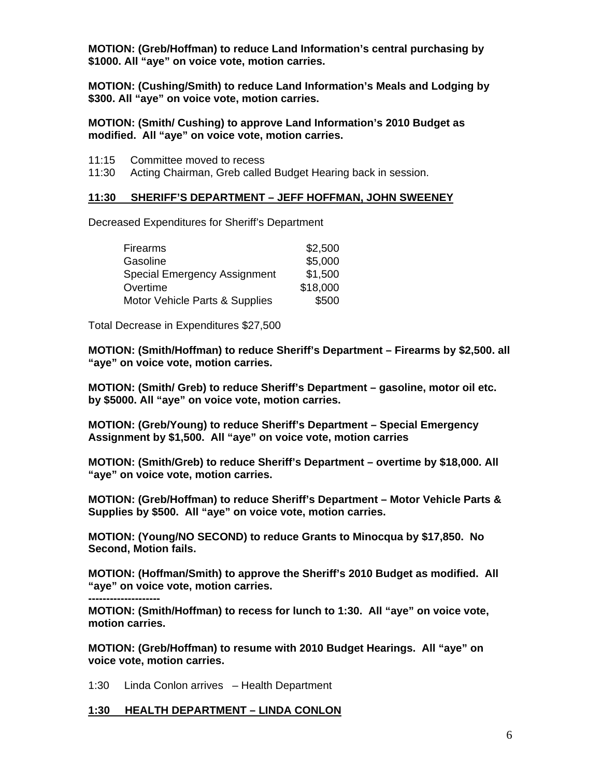**MOTION: (Greb/Hoffman) to reduce Land Information's central purchasing by \$1000. All "aye" on voice vote, motion carries.** 

**MOTION: (Cushing/Smith) to reduce Land Information's Meals and Lodging by \$300. All "aye" on voice vote, motion carries.** 

**MOTION: (Smith/ Cushing) to approve Land Information's 2010 Budget as modified. All "aye" on voice vote, motion carries.** 

- 11:15 Committee moved to recess
- 11:30 Acting Chairman, Greb called Budget Hearing back in session.

### **11:30 SHERIFF'S DEPARTMENT – JEFF HOFFMAN, JOHN SWEENEY**

Decreased Expenditures for Sheriff's Department

| <b>Firearms</b>                | \$2,500  |
|--------------------------------|----------|
| Gasoline                       | \$5,000  |
| Special Emergency Assignment   | \$1,500  |
| Overtime                       | \$18,000 |
| Motor Vehicle Parts & Supplies | \$500    |

Total Decrease in Expenditures \$27,500

**MOTION: (Smith/Hoffman) to reduce Sheriff's Department – Firearms by \$2,500. all "aye" on voice vote, motion carries.** 

**MOTION: (Smith/ Greb) to reduce Sheriff's Department – gasoline, motor oil etc. by \$5000. All "aye" on voice vote, motion carries.** 

**MOTION: (Greb/Young) to reduce Sheriff's Department – Special Emergency Assignment by \$1,500. All "aye" on voice vote, motion carries** 

**MOTION: (Smith/Greb) to reduce Sheriff's Department – overtime by \$18,000. All "aye" on voice vote, motion carries.** 

**MOTION: (Greb/Hoffman) to reduce Sheriff's Department – Motor Vehicle Parts & Supplies by \$500. All "aye" on voice vote, motion carries.** 

**MOTION: (Young/NO SECOND) to reduce Grants to Minocqua by \$17,850. No Second, Motion fails.** 

**MOTION: (Hoffman/Smith) to approve the Sheriff's 2010 Budget as modified. All "aye" on voice vote, motion carries.** 

**-------------------- MOTION: (Smith/Hoffman) to recess for lunch to 1:30. All "aye" on voice vote, motion carries.** 

**MOTION: (Greb/Hoffman) to resume with 2010 Budget Hearings. All "aye" on voice vote, motion carries.** 

1:30 Linda Conlon arrives – Health Department

#### **1:30 HEALTH DEPARTMENT – LINDA CONLON**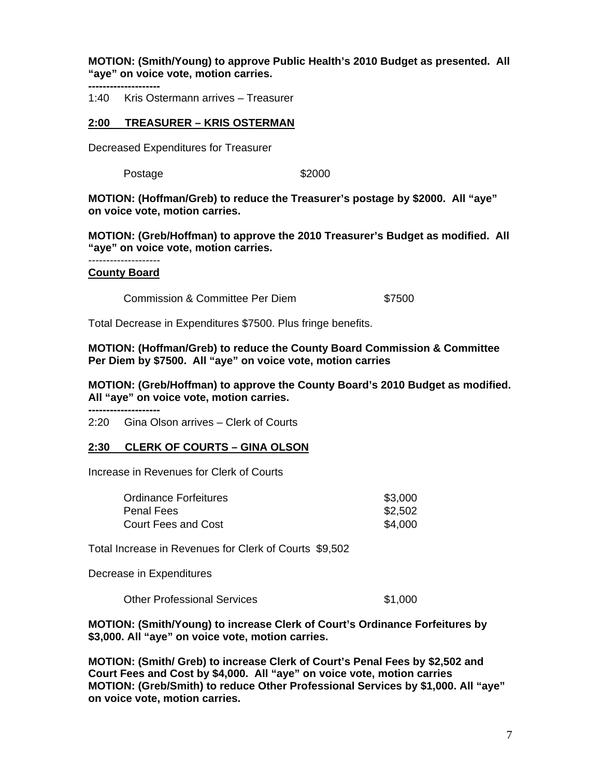**MOTION: (Smith/Young) to approve Public Health's 2010 Budget as presented. All "aye" on voice vote, motion carries.** 

**--------------------** 

1:40 Kris Ostermann arrives – Treasurer

### **2:00 TREASURER – KRIS OSTERMAN**

Decreased Expenditures for Treasurer

Postage \$2000

**MOTION: (Hoffman/Greb) to reduce the Treasurer's postage by \$2000. All "aye" on voice vote, motion carries.** 

**MOTION: (Greb/Hoffman) to approve the 2010 Treasurer's Budget as modified. All "aye" on voice vote, motion carries.** 

-------------------- **County Board**

Commission & Committee Per Diem  $$7500$ 

Total Decrease in Expenditures \$7500. Plus fringe benefits.

**MOTION: (Hoffman/Greb) to reduce the County Board Commission & Committee Per Diem by \$7500. All "aye" on voice vote, motion carries** 

**MOTION: (Greb/Hoffman) to approve the County Board's 2010 Budget as modified. All "aye" on voice vote, motion carries.** 

**--------------------** 

2:20 Gina Olson arrives – Clerk of Courts

#### **2:30 CLERK OF COURTS – GINA OLSON**

Increase in Revenues for Clerk of Courts

| <b>Ordinance Forfeitures</b> | \$3,000 |
|------------------------------|---------|
| Penal Fees                   | \$2,502 |
| Court Fees and Cost          | \$4,000 |

Total Increase in Revenues for Clerk of Courts \$9,502

Decrease in Expenditures

Other Professional Services  $$1,000$ 

**MOTION: (Smith/Young) to increase Clerk of Court's Ordinance Forfeitures by \$3,000. All "aye" on voice vote, motion carries.** 

**MOTION: (Smith/ Greb) to increase Clerk of Court's Penal Fees by \$2,502 and Court Fees and Cost by \$4,000. All "aye" on voice vote, motion carries MOTION: (Greb/Smith) to reduce Other Professional Services by \$1,000. All "aye" on voice vote, motion carries.**